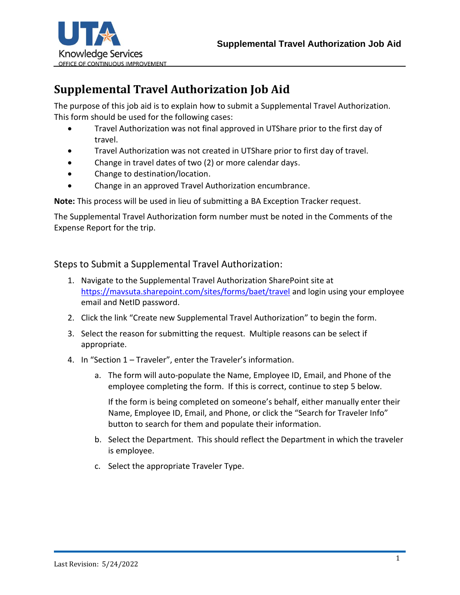



## **Supplemental Travel Authorization Job Aid**

The purpose of this job aid is to explain how to submit a Supplemental Travel Authorization. This form should be used for the following cases:

- Travel Authorization was not final approved in UTShare prior to the first day of travel.
- Travel Authorization was not created in UTShare prior to first day of travel.
- Change in travel dates of two (2) or more calendar days.
- Change to destination/location.
- Change in an approved Travel Authorization encumbrance.

**Note:** This process will be used in lieu of submitting a BA Exception Tracker request.

The Supplemental Travel Authorization form number must be noted in the Comments of the Expense Report for the trip.

## Steps to Submit a Supplemental Travel Authorization:

- 1. Navigate to the Supplemental Travel Authorization SharePoint site at <https://mavsuta.sharepoint.com/sites/forms/baet/travel> and login using your employee email and NetID password.
- 2. Click the link "Create new Supplemental Travel Authorization" to begin the form.
- 3. Select the reason for submitting the request. Multiple reasons can be select if appropriate.
- 4. In "Section 1 Traveler", enter the Traveler's information.
	- a. The form will auto-populate the Name, Employee ID, Email, and Phone of the employee completing the form. If this is correct, continue to step 5 below.

If the form is being completed on someone's behalf, either manually enter their Name, Employee ID, Email, and Phone, or click the "Search for Traveler Info" button to search for them and populate their information.

- b. Select the Department. This should reflect the Department in which the traveler is employee.
- c. Select the appropriate Traveler Type.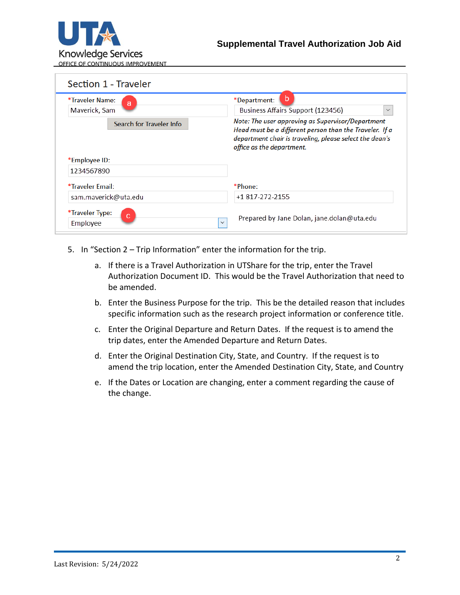

| *Traveler Name:<br>a     | b<br>*Department:                                                                                                                                                                                    |
|--------------------------|------------------------------------------------------------------------------------------------------------------------------------------------------------------------------------------------------|
| Maverick, Sam            | Business Affairs Support (123456)<br>$\checkmark$                                                                                                                                                    |
| Search for Traveler Info | Note: The user approving as Supervisor/Department<br>Head must be a different person than the Traveler. If a<br>department chair is traveling, please select the dean's<br>office as the department. |
|                          |                                                                                                                                                                                                      |
| *Employee ID:            |                                                                                                                                                                                                      |
| 1234567890               |                                                                                                                                                                                                      |
| *Traveler Email:         | *Phone:                                                                                                                                                                                              |
| sam.maverick@uta.edu     | +1 817-272-2155                                                                                                                                                                                      |

- 5. In "Section 2 Trip Information" enter the information for the trip.
	- a. If there is a Travel Authorization in UTShare for the trip, enter the Travel Authorization Document ID. This would be the Travel Authorization that need to be amended.
	- b. Enter the Business Purpose for the trip. This be the detailed reason that includes specific information such as the research project information or conference title.
	- c. Enter the Original Departure and Return Dates. If the request is to amend the trip dates, enter the Amended Departure and Return Dates.
	- d. Enter the Original Destination City, State, and Country. If the request is to amend the trip location, enter the Amended Destination City, State, and Country
	- e. If the Dates or Location are changing, enter a comment regarding the cause of the change.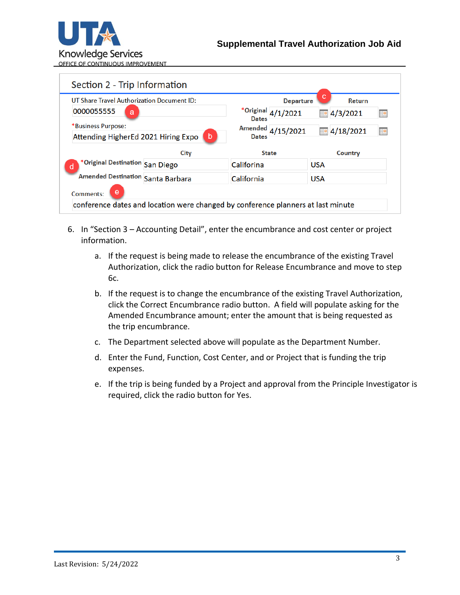

| UT Share Travel Authorization Document ID:<br>0000055555<br>a<br>*Business Purpose:<br>Attending HigherEd 2021 Hiring Expo<br>-b |      |              | с<br><b>Departure</b>   |                             | <b>Return</b> |   |
|----------------------------------------------------------------------------------------------------------------------------------|------|--------------|-------------------------|-----------------------------|---------------|---|
|                                                                                                                                  |      | <b>Dates</b> | $*$ Original $4/1/2021$ | 4/3/2021<br>4/18/2021<br>Ħ. |               | Ħ |
|                                                                                                                                  |      |              | Amended 4/15/2021       |                             |               |   |
|                                                                                                                                  |      | <b>Dates</b> |                         |                             |               |   |
|                                                                                                                                  | City | <b>State</b> |                         |                             | Country       |   |
| *Original Destination San Diego<br>d                                                                                             |      | Califorina   |                         | <b>USA</b>                  |               |   |
| Amended Destination Santa Barbara                                                                                                |      | California   |                         | <b>USA</b>                  |               |   |
| e<br>Comments:                                                                                                                   |      |              |                         |                             |               |   |

- 6. In "Section 3 Accounting Detail", enter the encumbrance and cost center or project information.
	- a. If the request is being made to release the encumbrance of the existing Travel Authorization, click the radio button for Release Encumbrance and move to step 6c.
	- b. If the request is to change the encumbrance of the existing Travel Authorization, click the Correct Encumbrance radio button. A field will populate asking for the Amended Encumbrance amount; enter the amount that is being requested as the trip encumbrance.
	- c. The Department selected above will populate as the Department Number.
	- d. Enter the Fund, Function, Cost Center, and or Project that is funding the trip expenses.
	- e. If the trip is being funded by a Project and approval from the Principle Investigator is required, click the radio button for Yes.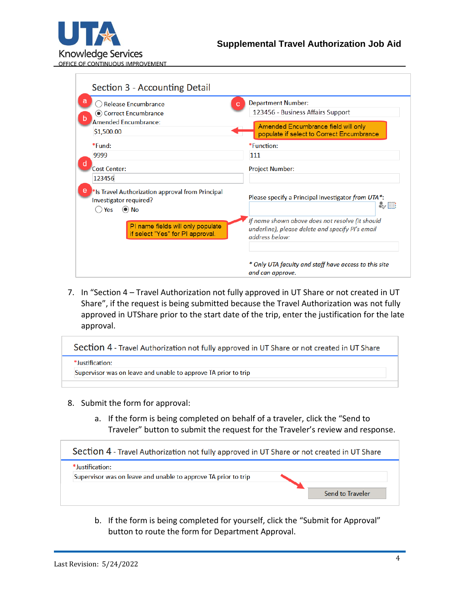

| <b>Release Encumbrance</b>                                                                                  | <b>Department Number:</b><br>c.                                    |
|-------------------------------------------------------------------------------------------------------------|--------------------------------------------------------------------|
| Correct Encumbrance                                                                                         | 123456 - Business Affairs Support                                  |
| <b>Amended Encumbrance:</b>                                                                                 | Amended Encumbrance field will only                                |
| \$1,500.00                                                                                                  | populate if select to Correct Encumbrance                          |
| $*Fund:$                                                                                                    | *Function:                                                         |
| 9999                                                                                                        | 111                                                                |
| <b>Cost Center:</b>                                                                                         | <b>Project Number:</b>                                             |
| 123456                                                                                                      |                                                                    |
| <sup>*</sup> Is Travel Authorization approval from Principal<br>Investigator required?<br>$\odot$ No<br>Yes | Please specify a Principal Investigator from UTA*:<br>み目           |
|                                                                                                             | If name shown above does not resolve (it should                    |
| PI name fields will only populate<br>if select "Yes" for PI approval.                                       | underline), please delete and specify PI's email<br>address below: |
|                                                                                                             |                                                                    |

7. In "Section 4 – Travel Authorization not fully approved in UT Share or not created in UT Share", if the request is being submitted because the Travel Authorization was not fully approved in UTShare prior to the start date of the trip, enter the justification for the late approval.

| Section 4 - Travel Authorization not fully approved in UT Share or not created in UT Share |  |
|--------------------------------------------------------------------------------------------|--|
| *Justification:                                                                            |  |
| Supervisor was on leave and unable to approve TA prior to trip                             |  |
|                                                                                            |  |

- 8. Submit the form for approval:
	- a. If the form is being completed on behalf of a traveler, click the "Send to Traveler" button to submit the request for the Traveler's review and response.

| Section 4 - Travel Authorization not fully approved in UT Share or not created in UT Share |                         |
|--------------------------------------------------------------------------------------------|-------------------------|
| $*$ lustification:                                                                         |                         |
| Supervisor was on leave and unable to approve TA prior to trip                             |                         |
|                                                                                            | <b>Send to Traveler</b> |

b. If the form is being completed for yourself, click the "Submit for Approval" button to route the form for Department Approval.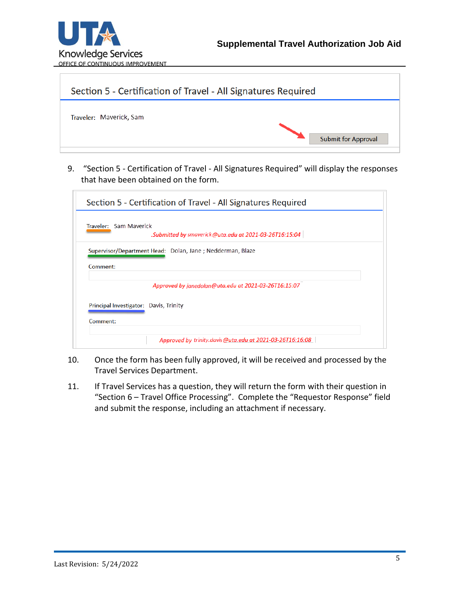



9. "Section 5 - Certification of Travel - All Signatures Required" will display the responses that have been obtained on the form.

| Section 5 - Certification of Travel - All Signatures Required |                                                           |  |  |  |
|---------------------------------------------------------------|-----------------------------------------------------------|--|--|--|
| Traveler: Sam Maverick                                        | Submitted by smaverick@uta.edu at 2021-03-26T16:15:04     |  |  |  |
| Comment:                                                      | Supervisor/Department Head: Dolan, Jane; Nedderman, Blaze |  |  |  |
|                                                               | Approved by janedolan@uta.edu at 2021-03-26T16:15:07      |  |  |  |
| Principal Investigator: Davis, Trinity<br>Comment:            |                                                           |  |  |  |
|                                                               | Approved by trinity.davis@uta.edu at 2021-03-26T16:16:08  |  |  |  |

- 10. Once the form has been fully approved, it will be received and processed by the Travel Services Department.
- 11. If Travel Services has a question, they will return the form with their question in "Section 6 – Travel Office Processing". Complete the "Requestor Response" field and submit the response, including an attachment if necessary.